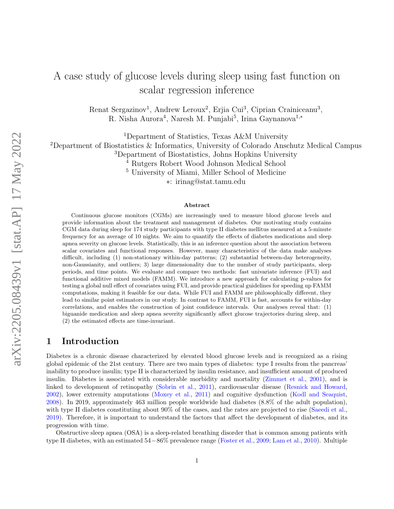# A case study of glucose levels during sleep using fast function on scalar regression inference

Renat Sergazinov<sup>1</sup>, Andrew Leroux<sup>2</sup>, Erjia Cui<sup>3</sup>, Ciprian Crainiceanu<sup>3</sup>, R. Nisha Aurora<sup>4</sup>, Naresh M. Punjabi<sup>5</sup>, Irina Gaynanova<sup>1,\*</sup>

<sup>1</sup>Department of Statistics, Texas A&M University

<sup>2</sup>Department of Biostatistics & Informatics, University of Colorado Anschutz Medical Campus

<sup>3</sup>Department of Biostatistics, Johns Hopkins University

<sup>4</sup> Rutgers Robert Wood Johnson Medical School

<sup>5</sup> University of Miami, Miller School of Medicine

∗: irinag@stat.tamu.edu

#### Abstract

Continuous glucose monitors (CGMs) are increasingly used to measure blood glucose levels and provide information about the treatment and management of diabetes. Our motivating study contains CGM data during sleep for 174 study participants with type II diabetes mellitus measured at a 5-minute frequency for an average of 10 nights. We aim to quantify the effects of diabetes medications and sleep apnea severity on glucose levels. Statistically, this is an inference question about the association between scalar covariates and functional responses. However, many characteristics of the data make analyses difficult, including (1) non-stationary within-day patterns; (2) substantial between-day heterogeneity, non-Gaussianity, and outliers; 3) large dimensionality due to the number of study participants, sleep periods, and time points. We evaluate and compare two methods: fast univariate inference (FUI) and functional additive mixed models (FAMM). We introduce a new approach for calculating p-values for testing a global null effect of covariates using FUI, and provide practical guidelines for speeding up FAMM computations, making it feasible for our data. While FUI and FAMM are philosophically different, they lead to similar point estimators in our study. In contrast to FAMM, FUI is fast, accounts for within-day correlations, and enables the construction of joint confidence intervals. Our analyses reveal that: (1) biguanide medication and sleep apnea severity significantly affect glucose trajectories during sleep, and (2) the estimated effects are time-invariant.

### 1 Introduction

Diabetes is a chronic disease characterized by elevated blood glucose levels and is recognized as a rising global epidemic of the 21st century. There are two main types of diabetes: type I results from the pancreas' inability to produce insulin; type II is characterized by insulin resistance, and insufficient amount of produced insulin. Diabetes is associated with considerable morbidity and mortality [\(Zimmet et al.,](#page-12-0) [2001\)](#page-12-0), and is linked to development of retinopathy [\(Sobrin et al.,](#page-12-1) [2011\)](#page-12-1), cardiovascular disease [\(Resnick and Howard,](#page-11-0) [2002\)](#page-11-0), lower extremity amputations [\(Moxey et al.,](#page-11-1) [2011\)](#page-11-1) and cognitive dysfunction [\(Kodl and Seaquist,](#page-11-2) [2008\)](#page-11-2). In 2019, approximately 463 million people worldwide had diabetes (8.8% of the adult population), with type II diabetes constituting about  $90\%$  of the cases, and the rates are projected to rise [\(Saeedi et al.,](#page-12-2) [2019\)](#page-12-2). Therefore, it is important to understand the factors that affect the development of diabetes, and its progression with time.

Obstructive sleep apnea (OSA) is a sleep-related breathing disorder that is common among patients with type II diabetes, with an estimated 54−86% prevalence range [\(Foster et al.,](#page-11-3) [2009;](#page-11-3) [Lam et al.,](#page-11-4) [2010\)](#page-11-4). Multiple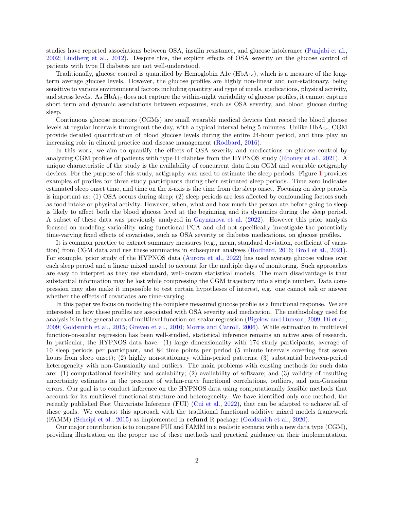studies have reported associations between OSA, insulin resistance, and glucose intolerance [\(Punjabi et al.,](#page-11-5) [2002;](#page-11-5) [Lindberg et al.,](#page-11-6) [2012\)](#page-11-6). Despite this, the explicit effects of OSA severity on the glucose control of patients with type II diabetes are not well-understood.

Traditionally, glucose control is quantified by Hemoglobin A1c  $(HbA_{1c})$ , which is a measure of the longterm average glucose levels. However, the glucose profiles are highly non-linear and non-stationary, being sensitive to various environmental factors including quantity and type of meals, medications, physical activity, and stress levels. As  $HbA_{1c}$  does not capture the within-night variability of glucose profiles, it cannot capture short term and dynamic associations between exposures, such as OSA severity, and blood glucose during sleep.

Continuous glucose monitors (CGMs) are small wearable medical devices that record the blood glucose levels at regular intervals throughout the day, with a typical interval being 5 minutes. Unlike  $HbA_{1c}$ , CGM provide detailed quantification of blood glucose levels during the entire 24-hour period, and thus play an increasing role in clinical practice and disease management [\(Rodbard,](#page-12-3) [2016\)](#page-12-3).

In this work, we aim to quantify the effects of OSA severity and medications on glucose control by analyzing CGM profiles of patients with type II diabetes from the HYPNOS study [\(Rooney et al.,](#page-12-4) [2021\)](#page-12-4). A unique characteristic of the study is the availability of concurrent data from CGM and wearable actigraphy devices. For the purpose of this study, actigraphy was used to estimate the sleep periods. Figure [1](#page-3-0) provides examples of profiles for three study participants during their estimated sleep periods. Time zero indicates estimated sleep onset time, and time on the x-axis is the time from the sleep onset. Focusing on sleep periods is important as: (1) OSA occurs during sleep; (2) sleep periods are less affected by confounding factors such as food intake or physical activity. However, when, what and how much the person ate before going to sleep is likely to affect both the blood glucose level at the beginning and its dynamics during the sleep period. A subset of these data was previously analyzed in [Gaynanova et al.](#page-11-7) [\(2022\)](#page-11-7). However this prior analysis focused on modeling variability using functional PCA and did not specifically investigate the potentially time-varying fixed effects of covariates, such as OSA severity or diabetes medications, on glucose profiles.

It is common practice to extract summary measures (e.g., mean, standard deviation, coefficient of variation) from CGM data and use these summaries in subsequent analyses [\(Rodbard,](#page-12-3) [2016;](#page-12-3) [Broll et al.,](#page-10-0) [2021\)](#page-10-0). For example, prior study of the HYPNOS data [\(Aurora et al.,](#page-10-1) [2022\)](#page-10-1) has used average glucose values over each sleep period and a linear mixed model to account for the multiple days of monitoring. Such approaches are easy to interpret as they use standard, well-known statistical models. The main disadvantage is that substantial information may be lost while compressing the CGM trajectory into a single number. Data compression may also make it impossible to test certain hypotheses of interest, e.g. one cannot ask or answer whether the effects of covariates are time-varying.

In this paper we focus on modeling the complete measured glucose profile as a functional response. We are interested in how these profiles are associated with OSA severity and medication. The methodology used for analysis is in the general area of multilevel function-on-scalar regression [\(Bigelow and Dunson,](#page-10-2) [2009;](#page-10-2) [Di et al.,](#page-11-8) [2009;](#page-11-8) [Goldsmith et al.,](#page-11-9) [2015;](#page-11-9) [Greven et al.,](#page-11-10) [2010;](#page-11-10) [Morris and Carroll,](#page-11-11) [2006\)](#page-11-11). While estimation in multilevel function-on-scalar regression has been well-studied, statistical inference remains an active area of research. In particular, the HYPNOS data have: (1) large dimensionality with 174 study participants, average of 10 sleep periods per participant, and 84 time points per period (5 minute intervals covering first seven hours from sleep onset); (2) highly non-stationary within-period patterns; (3) substantial between-period heterogeneity with non-Gaussianity and outliers. The main problems with existing methods for such data are: (1) computational feasibility and scalability; (2) availability of software; and (3) validity of resulting uncertainty estimates in the presence of within-curve functional correlations, outliers, and non-Gaussian errors. Our goal is to conduct inference on the HYPNOS data using computationally feasible methods that account for its multilevel functional structure and heterogeneity. We have identified only one method, the recently published Fast Univariate Inference (FUI) [\(Cui et al.,](#page-11-12) [2022\)](#page-11-12), that can be adapted to achieve all of these goals. We contrast this approach with the traditional functional additive mixed models framework (FAMM) [\(Scheipl et al.,](#page-12-5) [2015\)](#page-12-5) as implemented in refund R package [\(Goldsmith et al.,](#page-11-13) [2020\)](#page-11-13).

Our major contribution is to compare FUI and FAMM in a realistic scenario with a new data type (CGM), providing illustration on the proper use of these methods and practical guidance on their implementation.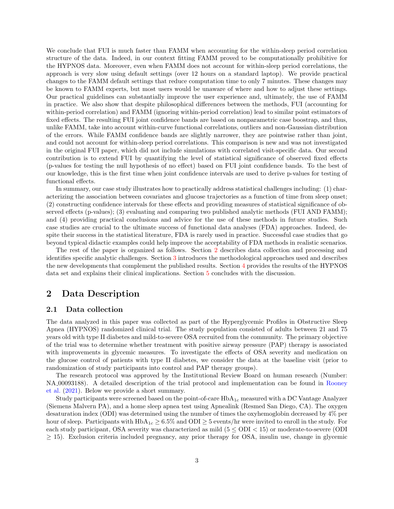We conclude that FUI is much faster than FAMM when accounting for the within-sleep period correlation structure of the data. Indeed, in our context fitting FAMM proved to be computationally prohibitive for the HYPNOS data. Moreover, even when FAMM does not account for within-sleep period correlations, the approach is very slow using default settings (over 12 hours on a standard laptop). We provide practical changes to the FAMM default settings that reduce computation time to only 7 minutes. These changes may be known to FAMM experts, but most users would be unaware of where and how to adjust these settings. Our practical guidelines can substantially improve the user experience and, ultimately, the use of FAMM in practice. We also show that despite philosophical differences between the methods, FUI (accounting for within-period correlation) and FAMM (ignoring within-period correlation) lead to similar point estimators of fixed effects. The resulting FUI joint confidence bands are based on nonparametric case boostrap, and thus, unlike FAMM, take into account within-curve functional correlations, outliers and non-Gaussian distribution of the errors. While FAMM confidence bands are slightly narrower, they are pointwise rather than joint, and could not account for within-sleep period correlations. This comparison is new and was not investigated in the original FUI paper, which did not include simulations with correlated visit-specific data. Our second contribution is to extend FUI by quantifying the level of statistical significance of observed fixed effects (p-values for testing the null hypothesis of no effect) based on FUI joint confidence bands. To the best of our knowledge, this is the first time when joint confidence intervals are used to derive p-values for testing of functional effects.

In summary, our case study illustrates how to practically address statistical challenges including: (1) characterizing the association between covariates and glucose trajectories as a function of time from sleep onset; (2) constructing confidence intervals for these effects and providing measures of statistical significance of observed effects (p-values); (3) evaluating and comparing two published analytic methods (FUI AND FAMM); and (4) providing practical conclusions and advice for the use of these methods in future studies. Such case studies are crucial to the ultimate success of functional data analyses (FDA) approaches. Indeed, despite their success in the statistical literature, FDA is rarely used in practice. Successful case studies that go beyond typical didactic examples could help improve the acceptability of FDA methods in realistic scenarios.

The rest of the paper is organized as follows. Section [2](#page-2-0) describes data collection and processing and identifies specific analytic challenges. Section [3](#page-4-0) introduces the methodological approaches used and describes the new developments that complement the published results. Section [4](#page-8-0) provides the results of the HYPNOS data set and explains their clinical implications. Section [5](#page-10-3) concludes with the discussion.

### <span id="page-2-0"></span>2 Data Description

#### 2.1 Data collection

The data analyzed in this paper was collected as part of the Hyperglycemic Profiles in Obstructive Sleep Apnea (HYPNOS) randomized clinical trial. The study population consisted of adults between 21 and 75 years old with type II diabetes and mild-to-severe OSA recruited from the community. The primary objective of the trial was to determine whether treatment with positive airway pressure (PAP) therapy is associated with improvements in glycemic measures. To investigate the effects of OSA severity and medication on the glucose control of patients with type II diabetes, we consider the data at the baseline visit (prior to randomization of study participants into control and PAP therapy groups).

The research protocol was approved by the Institutional Review Board on human research (Number: NA 00093188). A detailed description of the trial protocol and implementation can be found in [Rooney](#page-12-4) [et al.](#page-12-4) [\(2021\)](#page-12-4). Below we provide a short summary.

Study participants were screened based on the point-of-care  $HbA_{1c}$  measured with a DC Vantage Analyzer (Siemens Malvern PA), and a home sleep apnea test using Apnealink (Resmed San Diego, CA). The oxygen desaturation index (ODI) was determined using the number of times the oxyhemoglobin decreased by 4% per hour of sleep. Participants with  $HbA_{1c} \geq 6.5\%$  and  $ODI \geq 5$  events/hr were invited to enroll in the study. For each study participant, OSA severity was characterized as mild  $(5 \leq ODI < 15)$  or moderate-to-severe (ODI  $\geq$  15). Exclusion criteria included pregnancy, any prior therapy for OSA, insulin use, change in glycemic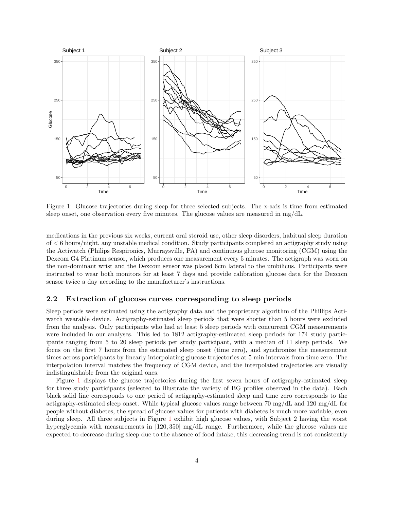<span id="page-3-0"></span>

Figure 1: Glucose trajectories during sleep for three selected subjects. The x-axis is time from estimated sleep onset, one observation every five minutes. The glucose values are measured in mg/dL.

medications in the previous six weeks, current oral steroid use, other sleep disorders, habitual sleep duration of < 6 hours/night, any unstable medical condition. Study participants completed an actigraphy study using the Actiwatch (Philips Respironics, Murraysville, PA) and continuous glucose monitoring (CGM) using the Dexcom G4 Platinum sensor, which produces one measurement every 5 minutes. The actigraph was worn on the non-dominant wrist and the Dexcom sensor was placed 6cm lateral to the umbilicus. Participants were instructed to wear both monitors for at least 7 days and provide calibration glucose data for the Dexcom sensor twice a day according to the manufacturer's instructions.

#### 2.2 Extraction of glucose curves corresponding to sleep periods

Sleep periods were estimated using the actigraphy data and the proprietary algorithm of the Phillips Actiwatch wearable device. Actigraphy-estimated sleep periods that were shorter than 5 hours were excluded from the analysis. Only participants who had at least 5 sleep periods with concurrent CGM measurements were included in our analyses. This led to 1812 actigraphy-estimated sleep periods for 174 study participants ranging from 5 to 20 sleep periods per study participant, with a median of 11 sleep periods. We focus on the first 7 hours from the estimated sleep onset (time zero), and synchronize the measurement times across participants by linearly interpolating glucose trajectories at 5 min intervals from time zero. The interpolation interval matches the frequency of CGM device, and the interpolated trajectories are visually indistinguishable from the original ones.

Figure [1](#page-3-0) displays the glucose trajectories during the first seven hours of actigraphy-estimated sleep for three study participants (selected to illustrate the variety of BG profiles observed in the data). Each black solid line corresponds to one period of actigraphy-estimated sleep and time zero corresponds to the actigraphy-estimated sleep onset. While typical glucose values range between 70 mg/dL and 120 mg/dL for people without diabetes, the spread of glucose values for patients with diabetes is much more variable, even during sleep. All three subjects in Figure [1](#page-3-0) exhibit high glucose values, with Subject 2 having the worst hyperglycemia with measurements in [120, 350] mg/dL range. Furthermore, while the glucose values are expected to decrease during sleep due to the absence of food intake, this decreasing trend is not consistently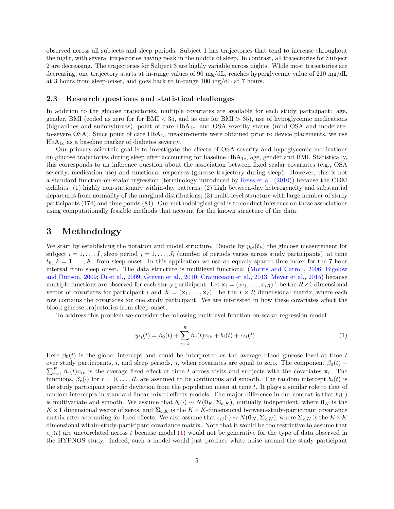observed across all subjects and sleep periods. Subject 1 has trajectories that tend to increase throughout the night, with several trajectories having peak in the middle of sleep. In contrast, all trajectories for Subject 2 are decreasing. The trajectories for Subject 3 are highly variable across nights. While most trajectories are decreasing, one trajectory starts at in-range values of 90 mg/dL, reaches hyperglycemic value of 210 mg/dL at 3 hours from sleep-onset, and goes back to in-range 100 mg/dL at 7 hours.

#### 2.3 Research questions and statistical challenges

In addition to the glucose trajectories, multiple covariates are available for each study participant: age, gender, BMI (coded as zero for for BMI < 35, and as one for BMI > 35), use of hypoglycemic medications (biguanides and sulfonylureas), point of care  $HbA_{1c}$ , and OSA severity status (mild OSA and moderateto-severe OSA). Since point of care  $HbA_{1c}$  measurements were obtained prior to device placements, we use  $HbA_{1c}$  as a baseline marker of diabetes severity.

Our primary scientific goal is to investigate the effects of OSA severity and hypoglycemic medications on glucose trajectories during sleep after accounting for baseline  $HbA_{1c}$ , age, gender and BMI. Statistically, this corresponds to an inference question about the association between fixed scalar covariates (e.g., OSA severity, medication use) and functional responses (glucose trajectory during sleep). However, this is not a standard function-on-scalar regression (terminology introduced by [Reiss et al.](#page-11-14) [\(2010\)](#page-11-14)) because the CGM exhibits: (1) highly non-stationary within-day patterns; (2) high between-day heterogeneity and substantial departures from normality of the marginal distributions; (3) multi-level structure with large number of study participants (174) and time points (84). Our methodological goal is to conduct inference on these associations using computationally feasible methods that account for the known structure of the data.

### <span id="page-4-0"></span>3 Methodology

We start by establishing the notation and model structure. Denote by  $y_{ij}(t_k)$  the glucose measurement for subject  $i = 1, \ldots, I$ , sleep period  $j = 1, \ldots, J_i$  (number of periods varies across study participants), at time  $t_k, k = 1, \ldots, K$ , from sleep onset. In this application we use an equally spaced time index for the 7 hour interval from sleep onset. The data structure is multilevel functional [\(Morris and Carroll,](#page-11-11) [2006;](#page-11-11) [Bigelow](#page-10-2) [and Dunson,](#page-10-2) [2009;](#page-10-2) [Di et al.,](#page-11-8) [2009;](#page-11-8) [Greven et al.,](#page-11-10) [2010;](#page-11-10) [Crainiceanu et al.,](#page-11-15) [2013;](#page-11-15) [Meyer et al.,](#page-11-16) [2015\)](#page-11-16) because multiple functions are observed for each study participant. Let  $\mathbf{x}_i = (x_{i1}, \ldots, x_{iR})^\top$  be the  $R \times 1$  dimensional vector of covariates for participant i and  $X = (\mathbf{x}_1, \dots, \mathbf{x}_I)^\top$  be the  $I \times R$  dimensional matrix, where each row contains the covariates for one study participant. We are interested in how these covariates affect the blood glucose trajectories from sleep onset.

To address this problem we consider the following multilevel function-on-scalar regression model

<span id="page-4-1"></span>
$$
y_{ij}(t) = \beta_0(t) + \sum_{r=1}^{R} \beta_r(t)x_{ir} + b_i(t) + \epsilon_{ij}(t) . \tag{1}
$$

Here  $\beta_0(t)$  is the global intercept and could be interpreted as the average blood glucose level at time t over study participants, i, and sleep periods, j, when covariates are equal to zero. The component  $\beta_0(t)$  +  $\sum_{r=1}^{R} \beta_r(t) x_{ir}$  is the average fixed effect at time t across visits and subjects with the covariates  $\mathbf{x}_i$ . The functions,  $\beta_r(\cdot)$  for  $r = 0, \ldots, R$ , are assumed to be continuous and smooth. The random intercept  $b_i(t)$  is the study participant specific deviation from the population mean at time t. It plays a similar role to that of random intercepts in standard linear mixed effects models. The major difference in our context is that  $b_i(\cdot)$ is multivariate and smooth. We assume that  $b_i(\cdot) \sim N(\mathbf{0}_K, \boldsymbol{\Sigma}_{b,K})$ , mutually independent, where  $\mathbf{0}_K$  is the  $K \times 1$  dimensional vector of zeros, and  $\Sigma_{b,K}$  is the  $K \times K$ -dimensional between-study-participant covariance matrix after accounting for fixed effects. We also assume that  $\epsilon_{ij}(\cdot) \sim N(\mathbf{0}_K, \Sigma_{\epsilon,K})$ , where  $\Sigma_{\epsilon,K}$  is the  $K \times K$ dimensional within-study-participant covariance matrix. Note that it would be too restrictive to assume that  $\epsilon_{ij}(t)$  are uncorrelated across t because model [\(1\)](#page-4-1) would not be generative for the type of data observed in the HYPNOS study. Indeed, such a model would just produce white noise around the study participant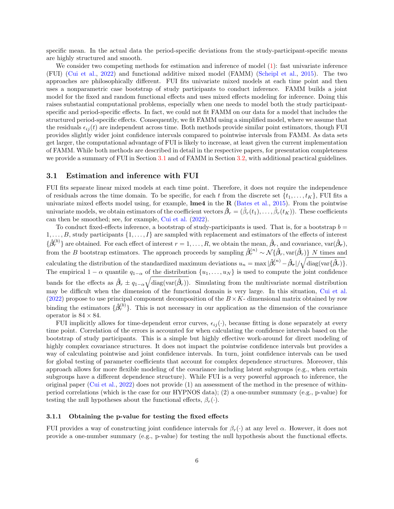specific mean. In the actual data the period-specific deviations from the study-participant-specific means are highly structured and smooth.

We consider two competing methods for estimation and inference of model [\(1\)](#page-4-1): fast univariate inference (FUI) [\(Cui et al.,](#page-11-12) [2022\)](#page-11-12) and functional additive mixed model (FAMM) [\(Scheipl et al.,](#page-12-5) [2015\)](#page-12-5). The two approaches are philosophically different. FUI fits univariate mixed models at each time point and then uses a nonparametric case bootstrap of study participants to conduct inference. FAMM builds a joint model for the fixed and random functional effects and uses mixed effects modeling for inference. Doing this raises substantial computational problems, especially when one needs to model both the study participantspecific and period-specific effects. In fact, we could not fit FAMM on our data for a model that includes the structured period-specific effects. Consequently, we fit FAMM using a simplified model, where we assume that the residuals  $\epsilon_{ij} (t)$  are independent across time. Both methods provide similar point estimators, though FUI provides slightly wider joint confidence intervals compared to pointwise intervals from FAMM. As data sets get larger, the computational advantage of FUI is likely to increase, at least given the current implementation of FAMM. While both methods are described in detail in the respective papers, for presentation completeness we provide a summary of FUI in Section [3.1](#page-5-0) and of FAMM in Section [3.2,](#page-6-0) with additional practical guidelines.

#### <span id="page-5-0"></span>3.1 Estimation and inference with FUI

FUI fits separate linear mixed models at each time point. Therefore, it does not require the independence of residuals across the time domain. To be specific, for each t from the discrete set  $\{t_1, \ldots, t_K\}$ , FUI fits a univariate mixed effects model using, for example,  $\text{Im}e4$  in the R [\(Bates et al.,](#page-10-4) [2015\)](#page-10-4). From the pointwise univariate models, we obtain estimators of the coefficient vectors  $\hat{\beta}_r = (\hat{\beta}_r(t_1), \dots, \hat{\beta}_r(t_K))$ . These coefficients can then be smoothed; see, for example, [Cui et al.](#page-11-12) [\(2022\)](#page-11-12).

To conduct fixed-effects inference, a bootstrap of study-participants is used. That is, for a bootstrap  $b =$  $1, \ldots, B$ , study participants  $\{1, \ldots, I\}$  are sampled with replacement and estimators of the effects of interest  $\{\hat{\beta}_r^{(b)}\}$  are obtained. For each effect of interest  $r=1,\ldots,R$ , we obtain the mean,  $\hat{\beta}_r$ , and covariance,  $\text{var}(\hat{\beta}_r)$ , from the B bootstrap estimators. The approach proceeds by sampling  $\hat{\beta}_r^{(n)} \sim \mathcal{N}\{\hat{\beta}_r, \text{var}(\hat{\beta}_r)\}\$ N times and calculating the distribution of the standardized maximum deviations  $u_n = \max |\hat{\beta}_r^{(n)} - \hat{\beta}_r| / \sqrt{\text{diag}(\text{var}\{\hat{\beta}_r)\}}.$ The empirical  $1 - \alpha$  quantile  $q_{1-\alpha}$  of the distribution  $\{u_1, \ldots, u_N\}$  is used to compute the joint confidence bands for the effects as  $\hat{\beta}_r \pm q_{1-\alpha}\sqrt{\text{diag}(\text{var}(\hat{\beta}_r))}$ . Simulating from the multivariate normal distribution may be difficult when the dimension of the functional domain is very large. In this situation, [Cui et al.](#page-11-12) [\(2022\)](#page-11-12) propose to use principal component decomposition of the  $B \times K$ - dimensional matrix obtained by row binding the estimators  $\{\hat{\beta}_r^{(b)}\}$ . This is not necessary in our application as the dimension of the covariance operator is  $84 \times 84$ .

FUI implicitly allows for time-dependent error curves,  $\epsilon_{ij}(\cdot)$ , because fitting is done separately at every time point. Correlation of the errors is accounted for when calculating the confidence intervals based on the bootstrap of study participants. This is a simple but highly effective work-around for direct modeling of highly complex covariance structures. It does not impact the pointwise confidence intervals but provides a way of calculating pointwise and joint confidence intervals. In turn, joint confidence intervals can be used for global testing of parameter coefficients that account for complex dependence structures. Moreover, this approach allows for more flexible modeling of the covariance including latent subgroups (e.g., when certain subgroups have a different dependence structure). While FUI is a very powerful approach to inference, the original paper [\(Cui et al.,](#page-11-12) [2022\)](#page-11-12) does not provide (1) an assessment of the method in the presence of withinperiod correlations (which is the case for our HYPNOS data); (2) a one-number summary (e.g., p-value) for testing the null hypotheses about the functional effects,  $\beta_r(\cdot)$ .

#### <span id="page-5-1"></span>3.1.1 Obtaining the p-value for testing the fixed effects

FUI provides a way of constructing joint confidence intervals for  $\beta_r(\cdot)$  at any level  $\alpha$ . However, it does not provide a one-number summary (e.g., p-value) for testing the null hypothesis about the functional effects.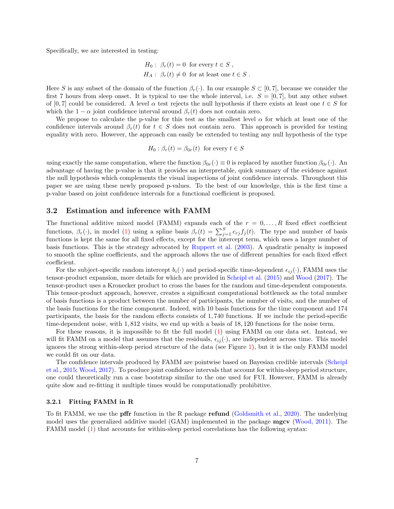Specifically, we are interested in testing:

$$
H_0: \ \beta_r(t) = 0 \ \text{ for every } t \in S ,
$$
  

$$
H_A: \ \beta_r(t) \neq 0 \ \text{ for at least one } t \in S .
$$

Here S is any subset of the domain of the function  $\beta_r(\cdot)$ . In our example  $S \subset [0,7]$ , because we consider the first 7 hours from sleep onset. It is typical to use the whole interval, i.e.  $S = [0, 7]$ , but any other subset of [0,7] could be considered. A level  $\alpha$  test rejects the null hypothesis if there exists at least one  $t \in S$  for which the  $1 - \alpha$  joint confidence interval around  $\beta_r(t)$  does not contain zero.

We propose to calculate the p-value for this test as the smallest level  $\alpha$  for which at least one of the confidence intervals around  $\beta_r(t)$  for  $t \in S$  does not contain zero. This approach is provided for testing equality with zero. However, the approach can easily be extended to testing any null hypothesis of the type

$$
H_0: \beta_r(t) = \beta_{0r}(t) \text{ for every } t \in S
$$

using exactly the same computation, where the function  $\beta_{0r}(\cdot) \equiv 0$  is replaced by another function  $\beta_{0r}(\cdot)$ . An advantage of having the p-value is that it provides an interpretable, quick summary of the evidence against the null hypothesis which complements the visual inspections of joint confidence intervals. Throughout this paper we are using these newly proposed p-values. To the best of our knowledge, this is the first time a p-value based on joint confidence intervals for a functional coefficient is proposed.

#### <span id="page-6-0"></span>3.2 Estimation and inference with FAMM

The functional additive mixed model (FAMM) expands each of the  $r = 0, \ldots, R$  fixed effect coefficient functions,  $\beta_r(\cdot)$ , in model [\(1\)](#page-4-1) using a spline basis  $\beta_r(t) = \sum_{j=1}^S c_{rj} f_j(t)$ . The type and number of basis functions is kept the same for all fixed effects, except for the intercept term, which uses a larger number of basis functions. This is the strategy advocated by [Ruppert et al.](#page-12-6) [\(2003\)](#page-12-6). A quadratic penalty is imposed to smooth the spline coefficients, and the approach allows the use of different penalties for each fixed effect coefficient.

For the subject-specific random intercept  $b_i(\cdot)$  and period-specific time-dependent  $\epsilon_{ij}(\cdot)$ , FAMM uses the tensor-product expansion, more details for which are provided in [Scheipl et al.](#page-12-5) [\(2015\)](#page-12-5) and [Wood](#page-12-7) [\(2017\)](#page-12-7). The tensor-product uses a Kronecker product to cross the bases for the random and time-dependent components. This tensor-product approach, however, creates a significant computational bottleneck as the total number of basis functions is a product between the number of participants, the number of visits, and the number of the basis functions for the time component. Indeed, with 10 basis functions for the time component and 174 participants, the basis for the random effects consists of 1, 740 functions. If we include the period-specific time-dependent noise, with 1, 812 visits, we end up with a basis of 18, 120 functions for the noise term.

For these reasons, it is impossible to fit the full model [\(1\)](#page-4-1) using FAMM on our data set. Instead, we will fit FAMM on a model that assumes that the residuals,  $\epsilon_{ij}(\cdot)$ , are independent across time. This model ignores the strong within-sleep period structure of the data (see Figure [1\)](#page-3-0), but it is the only FAMM model we could fit on our data.

The confidence intervals produced by FAMM are pointwise based on Bayesian credible intervals [\(Scheipl](#page-12-5) [et al.,](#page-12-5) [2015;](#page-12-5) [Wood,](#page-12-7) [2017\)](#page-12-7). To produce joint confidence intervals that account for within-sleep period structure, one could theoretically run a case bootstrap similar to the one used for FUI. However, FAMM is already quite slow and re-fitting it multiple times would be computationally prohibitive.

#### <span id="page-6-1"></span>3.2.1 Fitting FAMM in R

To fit FAMM, we use the pffr function in the R package refund [\(Goldsmith et al.,](#page-11-13) [2020\)](#page-11-13). The underlying model uses the generalized additive model (GAM) implemented in the package **mgcv** [\(Wood,](#page-12-8) [2011\)](#page-12-8). The FAMM model [\(1\)](#page-4-1) that accounts for within-sleep period correlations has the following syntax: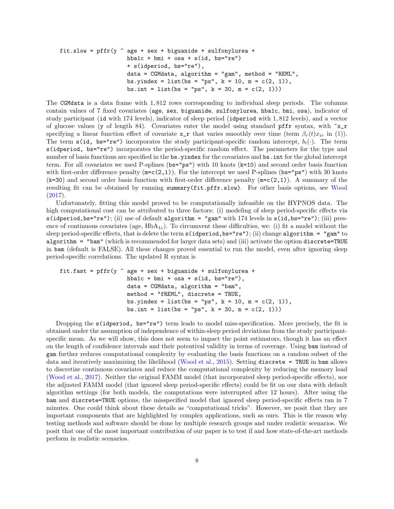```
fit.slow = pffr(y \tilde{\ } age + sex + biguanide + sulfonylurea +
         hba1c + bmi + osa + s(id, bs="re")
         + s(idperiod, bs="re"),
         data = CGMdata, algorithm = "gamma", method = "REML",bs.yindex = list(bs = "ps", k = 10, m = c(2, 1)),
         bs.int = list(bs = "ps", k = 30, m = c(2, 1)))
```
The CGMdata is a data frame with 1, 812 rows corresponding to individual sleep periods. The columns contain values of 7 fixed covariates (age, sex, biguanide, sulfonylurea, hba1c, bmi, osa), indicator of study participant (id with 174 levels), indicator of sleep period (idperiod with 1, 812 levels), and a vector of glucose values (y of length 84). Covariates enter the model using standard pffr syntax, with  $x_r$ specifying a linear function effect of covariate  $x_r$  that varies smoothly over time (term  $\beta_r(t)x_{ir}$  in [\(1\)](#page-4-1)). The term s(id, bs="re") incorporates the study participant-specific random intercept,  $b_i(\cdot)$ . The term s(idperiod, bs="re") incorporates the period-specific random effect. The parameters for the type and number of basis functions are specified in the bs.yindex for the covariates and bs.int for the global intercept term. For all covariates we used P-splines ( $bs = "ps"$ ) with 10 knots ( $k=10$ ) and second order basis function with first-order difference penalty  $(m=c(2,1))$ . For the intercept we used P-splines (bs="ps") with 30 knots  $(k=30)$  and second order basis function with first-order difference penalty  $(m=c(2,1))$ . A summary of the resulting fit can be obtained by running summary(fit.pffr.slow). For other basis options, see [Wood](#page-12-7) [\(2017\)](#page-12-7).

Unfortunately, fitting this model proved to be computationally infeasible on the HYPNOS data. The high computational cost can be attributed to three factors: (i) modeling of sleep period-specific effects via s(idperiod,bs="re"); (ii) use of default algorithm = "gam" with 174 levels in s(id,bs="re"); (iii) presence of continuous covariates (age,  $HbA_{1c}$ ). To circumvent these difficulties, we: (i) fit a model without the sleep period-specific effects, that is delete the term s(idperiod,bs="re"); (ii) change algorithm = "gam" to algorithm = "bam" (which is recommended for larger data sets) and (iii) activate the option discrete=TRUE in bam (default is FALSE). All these changes proved essential to run the model, even after ignoring sleep period-specific correlations. The updated R syntax is

```
fit.fast = pffr(y \text{ }^{\sim} age + sex + biguanide + sulfonylurea +
         hba1c + bmi + osa + s(id, bs="re"),
         data = CGMdata, algorithm = "bam",
         method = "fREML", discrete = TRUE,
         bs.yindex = list(bs = "ps", k = 10, m = c(2, 1)),
         bs.int = list(bs = "ps", k = 30, m = c(2, 1)))
```
Dropping the s(idperiod, bs="re") term leads to model miss-specification. More precisely, the fit is obtained under the assumption of independence of within-sleep period deviations from the study participantspecific mean. As we will show, this does not seem to impact the point estimators, though it has an effect on the length of confidence intervals and their potentival validity in terms of coverage. Using bam instead of gam further reduces computational complexity by evaluating the basis functions on a random subset of the data and iteratively maximizing the likelihood [\(Wood et al.,](#page-12-9) [2015\)](#page-12-9). Setting discrete = TRUE in bam allows to discretize continuous covariates and reduce the computational complexity by reducing the memory load [\(Wood et al.,](#page-12-10) [2017\)](#page-12-10). Neither the original FAMM model (that incorporated sleep period-specific effects), nor the adjusted FAMM model (that ignored sleep period-specific effects) could be fit on our data with default algorithm settings (for both models, the computations were interrupted after 12 hours). After using the bam and discrete=TRUE options, the misspecified model that ignored sleep period-specific effects ran in 7 minutes. One could think about these details as "computational tricks". However, we posit that they are important components that are highlighted by complex applications, such as ours. This is the reason why testing methods and software should be done by multiple research groups and under realistic scenarios. We posit that one of the most important contribution of our paper is to test if and how state-of-the-art methods perform in realistic scenarios.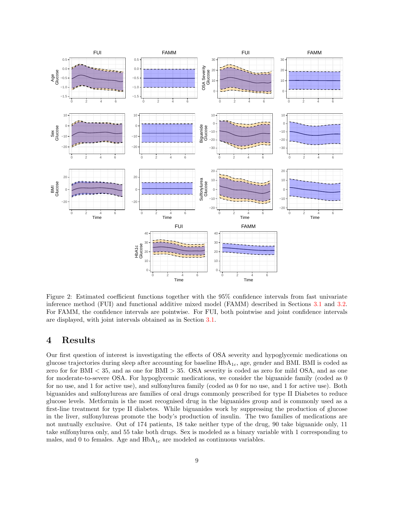<span id="page-8-1"></span>

Figure 2: Estimated coefficient functions together with the 95% confidence intervals from fast univariate inference method (FUI) and functional additive mixed model (FAMM) described in Sections [3.1](#page-5-0) and [3.2.](#page-6-0) For FAMM, the confidence intervals are pointwise. For FUI, both pointwise and joint confidence intervals are displayed, with joint intervals obtained as in Section [3.1.](#page-5-0)

## <span id="page-8-0"></span>4 Results

Our first question of interest is investigating the effects of OSA severity and hypoglycemic medications on glucose trajectories during sleep after accounting for baseline  $HbA_{1c}$ , age, gender and BMI. BMI is coded as zero for for BMI < 35, and as one for BMI > 35. OSA severity is coded as zero for mild OSA, and as one for moderate-to-severe OSA. For hypoglycemic medications, we consider the biguanide family (coded as 0 for no use, and 1 for active use), and sulfonylurea family (coded as 0 for no use, and 1 for active use). Both biguanides and sulfonylureas are families of oral drugs commonly prescribed for type II Diabetes to reduce glucose levels. Metformin is the most recognised drug in the biguanides group and is commonly used as a first-line treatment for type II diabetes. While biguanides work by suppressing the production of glucose in the liver, sulfonylureas promote the body's production of insulin. The two families of medications are not mutually exclusive. Out of 174 patients, 18 take neither type of the drug, 90 take biguanide only, 11 take sulfonylurea only, and 55 take both drugs. Sex is modeled as a binary variable with 1 corresponding to males, and 0 to females. Age and  $HbA_{1c}$  are modeled as continuous variables.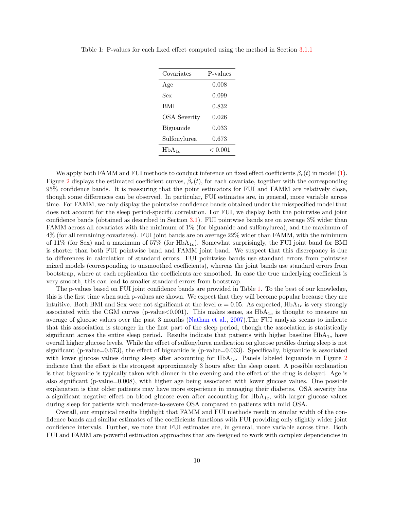| Covariates          | P-values |
|---------------------|----------|
| Age                 | 0.008    |
| Sex                 | 0.099    |
| BMI                 | 0.832    |
| <b>OSA</b> Severity | 0.026    |
| Biguanide           | 0.033    |
| Sulfonylurea        | 0.673    |
| $HbA_{1c}$          | < 0.001  |

<span id="page-9-0"></span>Table 1: P-values for each fixed effect computed using the method in Section [3.1.1](#page-5-1)

We apply both FAMM and FUI methods to conduct inference on fixed effect coefficients  $\beta_r(t)$  in model [\(1\)](#page-4-1). Figure [2](#page-8-1) displays the estimated coefficient curves,  $\hat{\beta}_r(t)$ , for each covariate, together with the corresponding 95% confidence bands. It is reassuring that the point estimators for FUI and FAMM are relatively close, though some differences can be observed. In particular, FUI estimates are, in general, more variable across time. For FAMM, we only display the pointwise confidence bands obtained under the misspecified model that does not account for the sleep period-specific correlation. For FUI, we display both the pointwise and joint confidence bands (obtained as described in Section [3.1\)](#page-5-0). FUI pointwise bands are on average 3% wider than FAMM across all covariates with the minimum of 1% (for biguanide and sulfonylurea), and the maximum of 4% (for all remaining covariates). FUI joint bands are on average 22% wider than FAMM, with the minimum of  $11\%$  (for Sex) and a maximum of  $57\%$  (for  $HbA_{1c}$ ). Somewhat surprisingly, the FUI joint band for BMI is shorter than both FUI pointwise band and FAMM joint band. We suspect that this discrepancy is due to differences in calculation of standard errors. FUI pointwise bands use standard errors from pointwise mixed models (corresponding to unsmoothed coefficients), whereas the joint bands use standard errors from bootstrap, where at each replication the coefficients are smoothed. In case the true underlying coefficient is very smooth, this can lead to smaller standard errors from bootstrap.

The p-values based on FUI joint confidence bands are provided in Table [1.](#page-9-0) To the best of our knowledge, this is the first time when such p-values are shown. We expect that they will become popular because they are intuitive. Both BMI and Sex were not significant at the level  $\alpha = 0.05$ . As expected, HbA<sub>1c</sub> is very strongly associated with the CGM curves (p-value  $0.001$ ). This makes sense, as  $HbA_{1c}$  is thought to measure an average of glucose values over the past 3 months [\(Nathan et al.,](#page-11-17) [2007\)](#page-11-17).The FUI analysis seems to indicate that this association is stronger in the first part of the sleep period, though the association is statistically significant across the entire sleep period. Results indicate that patients with higher baseline  $HbA_{1c}$  have overall higher glucose levels. While the effect of sulfonylurea medication on glucose profiles during sleep is not significant (p-value=0.673), the effect of biguanide is (p-value=0.033). Specifically, biguanide is associated with lower glucose values during sleep after accounting for  $HbA_{1c}$ . Panels labeled biguanide in Figure [2](#page-8-1) indicate that the effect is the strongest approximately 3 hours after the sleep onset. A possible explanation is that biguanide is typically taken with dinner in the evening and the effect of the drug is delayed. Age is also significant (p-value=0.008), with higher age being associated with lower glucose values. One possible explanation is that older patients may have more experience in managing their diabetes. OSA severity has a significant negative effect on blood glucose even after accounting for  $HbA_{1c}$ , with larger glucose values during sleep for patients with moderate-to-severe OSA compared to patients with mild OSA.

Overall, our empirical results highlight that FAMM and FUI methods result in similar width of the confidence bands and similar estimates of the coefficients functions with FUI providing only slightly wider joint confidence intervals. Further, we note that FUI estimates are, in general, more variable across time. Both FUI and FAMM are powerful estimation approaches that are designed to work with complex dependencies in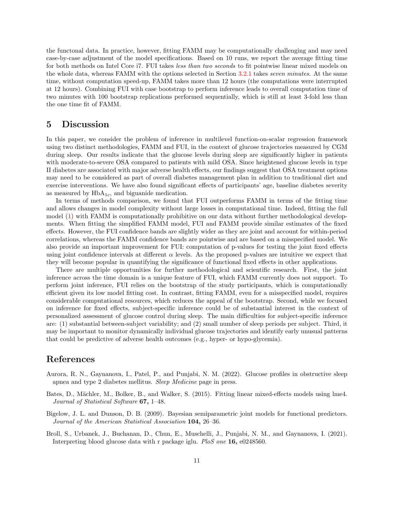the functonal data. In practice, however, fitting FAMM may be computationally challenging and may need case-by-case adjustment of the model specifications. Based on 10 runs, we report the average fitting time for both methods on Intel Core i7. FUI takes less than two seconds to fit pointwise linear mixed models on the whole data, whereas FAMM with the options selected in Section [3.2.1](#page-6-1) takes seven minutes. At the same time, without computation speed-up, FAMM takes more than 12 hours (the computations were interrupted at 12 hours). Combining FUI with case bootstrap to perform inference leads to overall computation time of two minutes with 100 bootstrap replications performed sequentially, which is still at least 3-fold less than the one time fit of FAMM.

### <span id="page-10-3"></span>5 Discussion

In this paper, we consider the problem of inference in multilevel function-on-scalar regression framework using two distinct methodologies, FAMM and FUI, in the context of glucose trajectories measured by CGM during sleep. Our results indicate that the glucose levels during sleep are significantly higher in patients with moderate-to-severe OSA compared to patients with mild OSA. Since heightened glucose levels in type II diabetes are associated with major adverse health effects, our findings suggest that OSA treatment options may need to be considered as part of overall diabetes management plan in addition to traditional diet and exercise interventions. We have also found significant effects of participants' age, baseline diabetes severity as measured by  $HbA_{1c}$ , and biguanide medication.

In terms of methods comparison, we found that FUI outperforms FAMM in terms of the fitting time and allows changes in model complexity without large losses in computational time. Indeed, fitting the full model [\(1\)](#page-4-1) with FAMM is computationally prohibitive on our data without further methodological developments. When fitting the simplified FAMM model, FUI and FAMM provide similar estimates of the fixed effects. However, the FUI confidence bands are slightly wider as they are joint and account for within-period correlations, whereas the FAMM confidence bands are pointwise and are based on a misspecified model. We also provide an important improvement for FUI: computation of p-values for testing the joint fixed effects using joint confidence intervals at different  $\alpha$  levels. As the proposed p-values are intuitive we expect that they will become popular in quantifying the significance of functional fixed effects in other applications.

There are multiple opportunities for further methodological and scientific research. First, the joint inference across the time domain is a unique feature of FUI, which FAMM currently does not support. To perform joint inference, FUI relies on the bootstrap of the study participants, which is computationally efficient given its low model fitting cost. In contrast, fitting FAMM, even for a misspecified model, requires considerable computational resources, which reduces the appeal of the bootstrap. Second, while we focused on inference for fixed effects, subject-specific inference could be of substantial interest in the context of personalized assessment of glucose control during sleep. The main difficulties for subject-specific inference are: (1) substantial between-subject variability; and (2) small number of sleep periods per subject. Third, it may be important to monitor dynamically individual glucose trajectories and identify early unusual patterns that could be predictive of adverse health outcomes (e.g., hyper- or hypo-glycemia).

### References

- <span id="page-10-1"></span>Aurora, R. N., Gaynanova, I., Patel, P., and Punjabi, N. M. (2022). Glucose profiles in obstructive sleep apnea and type 2 diabetes mellitus. Sleep Medicine page in press.
- <span id="page-10-4"></span>Bates, D., Mächler, M., Bolker, B., and Walker, S. (2015). Fitting linear mixed-effects models using lme4. Journal of Statistical Software 67, 1–48.
- <span id="page-10-2"></span>Bigelow, J. L. and Dunson, D. B. (2009). Bayesian semiparametric joint models for functional predictors. Journal of the American Statistical Association 104, 26–36.
- <span id="page-10-0"></span>Broll, S., Urbanek, J., Buchanan, D., Chun, E., Muschelli, J., Punjabi, N. M., and Gaynanova, I. (2021). Interpreting blood glucose data with r package iglu. PloS one 16, e0248560.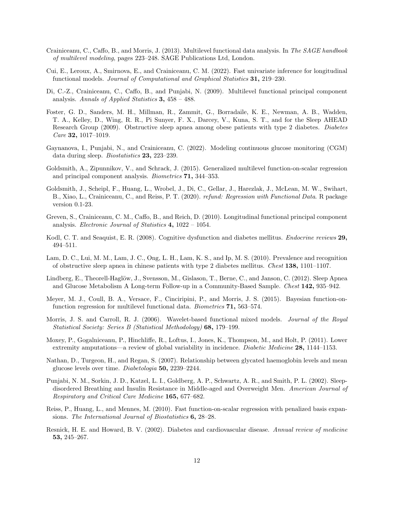- <span id="page-11-15"></span>Crainiceanu, C., Caffo, B., and Morris, J. (2013). Multilevel functional data analysis. In The SAGE handbook of multilevel modeling, pages 223–248. SAGE Publications Ltd, London.
- <span id="page-11-12"></span>Cui, E., Leroux, A., Smirnova, E., and Crainiceanu, C. M. (2022). Fast univariate inference for longitudinal functional models. Journal of Computational and Graphical Statistics 31, 219–230.
- <span id="page-11-8"></span>Di, C.-Z., Crainiceanu, C., Caffo, B., and Punjabi, N. (2009). Multilevel functional principal component analysis. Annals of Applied Statistics  $3, 458 - 488$ .
- <span id="page-11-3"></span>Foster, G. D., Sanders, M. H., Millman, R., Zammit, G., Borradaile, K. E., Newman, A. B., Wadden, T. A., Kelley, D., Wing, R. R., Pi Sunyer, F. X., Darcey, V., Kuna, S. T., and for the Sleep AHEAD Research Group (2009). Obstructive sleep apnea among obese patients with type 2 diabetes. Diabetes *Care* **32,** 1017–1019.
- <span id="page-11-7"></span>Gaynanova, I., Punjabi, N., and Crainiceanu, C. (2022). Modeling continuous glucose monitoring (CGM) data during sleep. Biostatistics 23, 223–239.
- <span id="page-11-9"></span>Goldsmith, A., Zipunnikov, V., and Schrack, J. (2015). Generalized multilevel function-on-scalar regression and principal component analysis. Biometrics 71, 344–353.
- <span id="page-11-13"></span>Goldsmith, J., Scheipl, F., Huang, L., Wrobel, J., Di, C., Gellar, J., Harezlak, J., McLean, M. W., Swihart, B., Xiao, L., Crainiceanu, C., and Reiss, P. T. (2020). refund: Regression with Functional Data. R package version 0.1-23.
- <span id="page-11-10"></span>Greven, S., Crainiceanu, C. M., Caffo, B., and Reich, D. (2010). Longitudinal functional principal component analysis. *Electronic Journal of Statistics* 4, 1022 – 1054.
- <span id="page-11-2"></span>Kodl, C. T. and Seaquist, E. R. (2008). Cognitive dysfunction and diabetes mellitus. *Endocrine reviews* 29, 494–511.
- <span id="page-11-4"></span>Lam, D. C., Lui, M. M., Lam, J. C., Ong, L. H., Lam, K. S., and Ip, M. S. (2010). Prevalence and recognition of obstructive sleep apnea in chinese patients with type 2 diabetes mellitus. Chest 138, 1101–1107.
- <span id="page-11-6"></span>Lindberg, E., Theorell-Haglöw, J., Svensson, M., Gislason, T., Berne, C., and Janson, C. (2012). Sleep Apnea and Glucose Metabolism A Long-term Follow-up in a Community-Based Sample. Chest 142, 935–942.
- <span id="page-11-16"></span>Meyer, M. J., Coull, B. A., Versace, F., Cinciripini, P., and Morris, J. S. (2015). Bayesian function-onfunction regression for multilevel functional data. *Biometrics* **71**, 563–574.
- <span id="page-11-11"></span>Morris, J. S. and Carroll, R. J. (2006). Wavelet-based functional mixed models. Journal of the Royal Statistical Society: Series B (Statistical Methodology) 68, 179–199.
- <span id="page-11-1"></span>Moxey, P., Gogalniceanu, P., Hinchliffe, R., Loftus, I., Jones, K., Thompson, M., and Holt, P. (2011). Lower extremity amputations—a review of global variability in incidence. Diabetic Medicine 28, 1144–1153.
- <span id="page-11-17"></span>Nathan, D., Turgeon, H., and Regan, S. (2007). Relationship between glycated haemoglobin levels and mean glucose levels over time. Diabetologia 50, 2239–2244.
- <span id="page-11-5"></span>Punjabi, N. M., Sorkin, J. D., Katzel, L. I., Goldberg, A. P., Schwartz, A. R., and Smith, P. L. (2002). Sleepdisordered Breathing and Insulin Resistance in Middle-aged and Overweight Men. American Journal of Respiratory and Critical Care Medicine 165, 677–682.
- <span id="page-11-14"></span>Reiss, P., Huang, L., and Mennes, M. (2010). Fast function-on-scalar regression with penalized basis expansions. The International Journal of Biostatistics 6, 28–28.
- <span id="page-11-0"></span>Resnick, H. E. and Howard, B. V. (2002). Diabetes and cardiovascular disease. Annual review of medicine 53, 245–267.